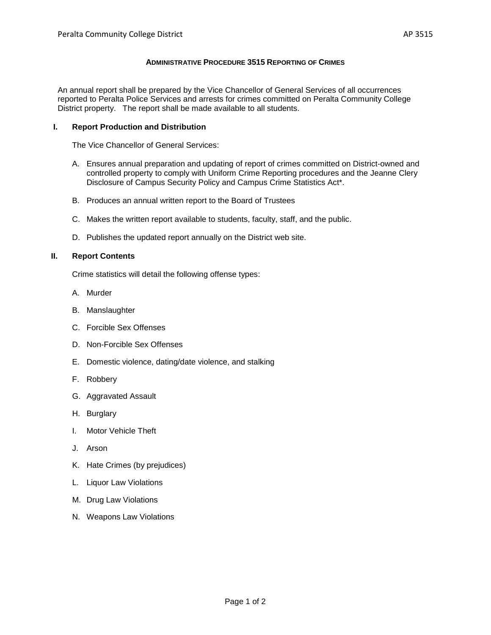## **ADMINISTRATIVE PROCEDURE 3515 REPORTING OF CRIMES**

An annual report shall be prepared by the Vice Chancellor of General Services of all occurrences reported to Peralta Police Services and arrests for crimes committed on Peralta Community College District property. The report shall be made available to all students.

## **I. Report Production and Distribution**

The Vice Chancellor of General Services:

- A. Ensures annual preparation and updating of report of crimes committed on District-owned and controlled property to comply with Uniform Crime Reporting procedures and the Jeanne Clery Disclosure of Campus Security Policy and Campus Crime Statistics Act\*.
- B. Produces an annual written report to the Board of Trustees
- C. Makes the written report available to students, faculty, staff, and the public.
- D. Publishes the updated report annually on the District web site.

## **II. Report Contents**

Crime statistics will detail the following offense types:

- A. Murder
- B. Manslaughter
- C. Forcible Sex Offenses
- D. Non-Forcible Sex Offenses
- E. Domestic violence, dating/date violence, and stalking
- F. Robbery
- G. Aggravated Assault
- H. Burglary
- I. Motor Vehicle Theft
- J. Arson
- K. Hate Crimes (by prejudices)
- L. Liquor Law Violations
- M. Drug Law Violations
- N. Weapons Law Violations